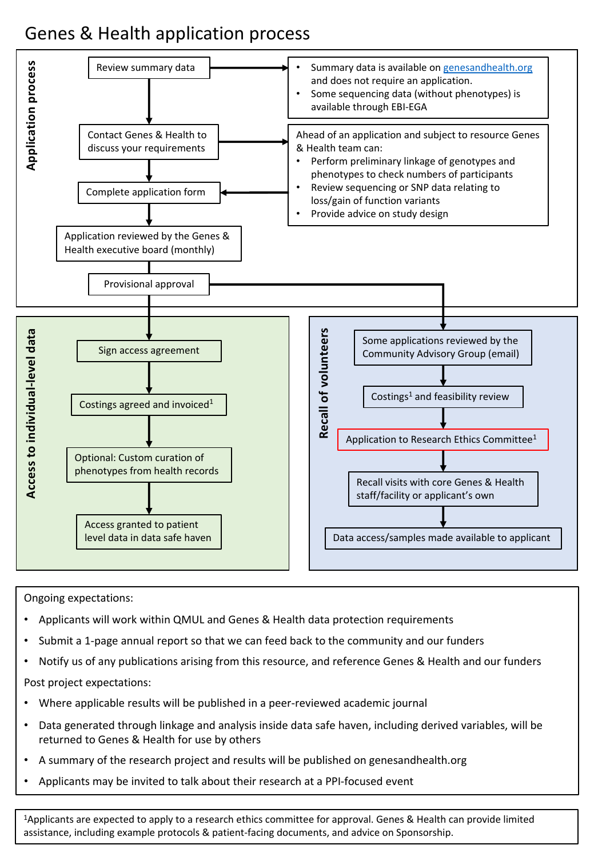## Genes & Health application process



Ongoing expectations:

- Applicants will work within QMUL and Genes & Health data protection requirements
- Submit a 1-page annual report so that we can feed back to the community and our funders
- Notify us of any publications arising from this resource, and reference Genes & Health and our funders

Post project expectations:

- Where applicable results will be published in a peer-reviewed academic journal
- Data generated through linkage and analysis inside data safe haven, including derived variables, will be returned to Genes & Health for use by others
- A summary of the research project and results will be published on genesandhealth.org
- Applicants may be invited to talk about their research at a PPI-focused event

1Applicants are expected to apply to a research ethics committee for approval. Genes & Health can provide limited assistance, including example protocols & patient-facing documents, and advice on Sponsorship.